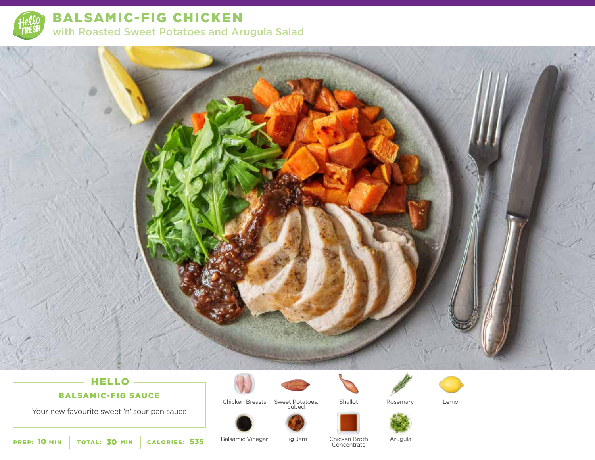

BALSAMIC-FIG CHICKEN with Roasted Sweet Potatoes and Arugula Salad



# BALSAMIC-FIG SAUCE



Chicken Breasts Sweet Potatoes, Rosemary Lemon cubed

Shallot





Your new favourite sweet 'n' sour pan sauce

HELLO



Fig Jam Chicken Broth Arugula<br>Concentrate

**PREP: 10 MIN** TOTAL: 30 MIN CALORIES: 535 Balsamic Vinegar Fig Jam Chicken Broth Concentrate